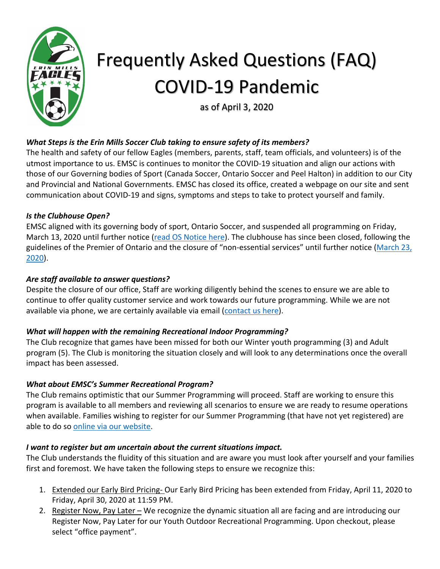

# Frequently Asked Questions (FAQ) COVID-19 Pandemic

as of April 3, 2020

# *What Steps is the Erin Mills Soccer Club taking to ensure safety of its members?*

The health and safety of our fellow Eagles (members, parents, staff, team officials, and volunteers) is of the utmost importance to us. EMSC is continues to monitor the COVID-19 situation and align our actions with those of our Governing bodies of Sport (Canada Soccer, Ontario Soccer and Peel Halton) in addition to our City and Provincial and National Governments. EMSC has closed its office, created a webpage on our site and sent communication about COVID-19 and signs, symptoms and steps to take to protect yourself and family.

## *Is the Clubhouse Open?*

EMSC aligned with its governing body of sport, Ontario Soccer, and suspended all programming on Friday, March 13, 2020 until further notice (read OS Notice here). The clubhouse has since been closed, following the guidelines of the Premier of Ontario and the closure of "non-essential services" until further notice (March 23, 2020).

## *Are staff available to answer questions?*

Despite the closure of our office, Staff are working diligently behind the scenes to ensure we are able to continue to offer quality customer service and work towards our future programming. While we are not available via phone, we are certainly available via email (contact us here).

#### *What will happen with the remaining Recreational Indoor Programming?*

The Club recognize that games have been missed for both our Winter youth programming (3) and Adult program (5). The Club is monitoring the situation closely and will look to any determinations once the overall impact has been assessed.

#### *What about EMSC's Summer Recreational Program?*

The Club remains optimistic that our Summer Programming will proceed. Staff are working to ensure this program is available to all members and reviewing all scenarios to ensure we are ready to resume operations when available. Families wishing to register for our Summer Programming (that have not yet registered) are able to do so online via our website.

#### *I want to register but am uncertain about the current situations impact.*

The Club understands the fluidity of this situation and are aware you must look after yourself and your families first and foremost. We have taken the following steps to ensure we recognize this:

- 1. Extended our Early Bird Pricing- Our Early Bird Pricing has been extended from Friday, April 11, 2020 to Friday, April 30, 2020 at 11:59 PM.
- 2. Register Now, Pay Later We recognize the dynamic situation all are facing and are introducing our Register Now, Pay Later for our Youth Outdoor Recreational Programming. Upon checkout, please select "office payment".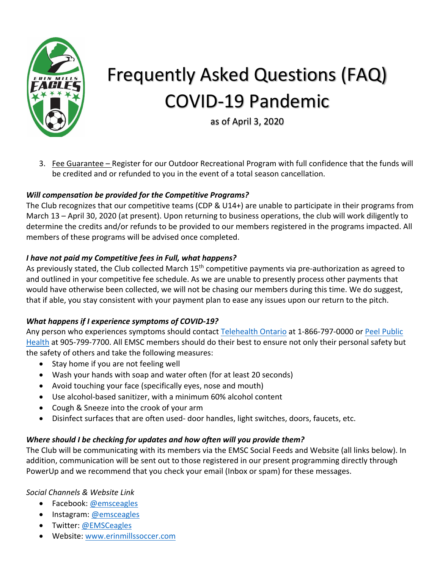

# Frequently Asked Questions (FAQ) COVID-19 Pandemic

as of April 3, 2020

3. Fee Guarantee – Register for our Outdoor Recreational Program with full confidence that the funds will be credited and or refunded to you in the event of a total season cancellation.

# *Will compensation be provided for the Competitive Programs?*

The Club recognizes that our competitive teams (CDP & U14+) are unable to participate in their programs from March 13 – April 30, 2020 (at present). Upon returning to business operations, the club will work diligently to determine the credits and/or refunds to be provided to our members registered in the programs impacted. All members of these programs will be advised once completed.

## *I have not paid my Competitive fees in Full, what happens?*

As previously stated, the Club collected March 15<sup>th</sup> competitive payments via pre-authorization as agreed to and outlined in your competitive fee schedule. As we are unable to presently process other payments that would have otherwise been collected, we will not be chasing our members during this time. We do suggest, that if able, you stay consistent with your payment plan to ease any issues upon our return to the pitch.

# *What happens if I experience symptoms of COVID-19?*

Any person who experiences symptoms should contact Telehealth Ontario at 1-866-797-0000 or Peel Public Health at 905-799-7700. All EMSC members should do their best to ensure not only their personal safety but the safety of others and take the following measures:

- Stay home if you are not feeling well
- Wash your hands with soap and water often (for at least 20 seconds)
- Avoid touching your face (specifically eyes, nose and mouth)
- Use alcohol-based sanitizer, with a minimum 60% alcohol content
- Cough & Sneeze into the crook of your arm
- Disinfect surfaces that are often used- door handles, light switches, doors, faucets, etc.

#### *Where should I be checking for updates and how often will you provide them?*

The Club will be communicating with its members via the EMSC Social Feeds and Website (all links below). In addition, communication will be sent out to those registered in our present programming directly through PowerUp and we recommend that you check your email (Inbox or spam) for these messages.

#### *Social Channels & Website Link*

- Facebook: @emsceagles
- Instagram: @emsceagles
- Twitter: @EMSCeagles
- Website: www.erinmillssoccer.com